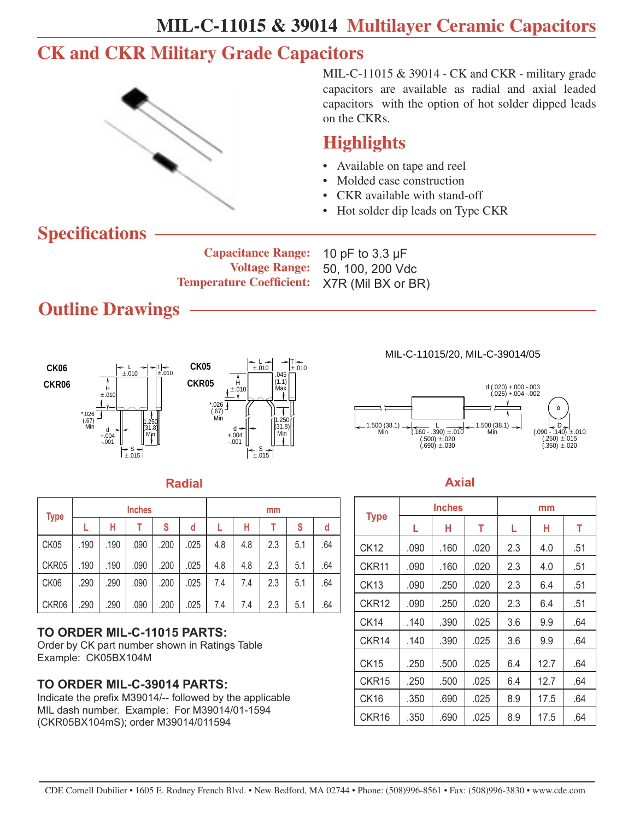### **CK and CKR Military Grade Capacitors**



MIL-C-11015 & 39014 - CK and CKR - military grade capacitors are available as radial and axial leaded capacitors with the option of hot solder dipped leads on the CKRs.

#### **Highlights**

- Available on tape and reel
- Molded case construction
- CKR available with stand-off
- Hot solder dip leads on Type CKR

### **Specifications**

**Capacitance Range: Voltage Range: Temperature Coefficient:** 

10 pF to 3.3 µF 50, 100, 200 Vdc X7R (Mil BX or BR)

## **Outline Drawings**





#### **Radial Axial**

| <b>Type</b> |      |      | <b>Inches</b> |      |      | mm  |     |     |     |     |  |  |  |  |
|-------------|------|------|---------------|------|------|-----|-----|-----|-----|-----|--|--|--|--|
|             |      | н    |               | S    | d    |     | н   |     | S   | d   |  |  |  |  |
| CK05        | .190 | .190 | .090          | .200 | .025 | 4.8 | 4.8 | 2.3 | 5.1 | .64 |  |  |  |  |
| CKR05       | .190 | .190 | .090          | .200 | .025 | 4.8 | 4.8 | 2.3 | 5.1 | .64 |  |  |  |  |
| CK06        | .290 | .290 | .090          | .200 | .025 | 7.4 | 7.4 | 2.3 | 5.1 | .64 |  |  |  |  |
| CKR06       | .290 | .290 | .090          | .200 | .025 | 7.4 | 7.4 | 2.3 | 5.1 | .64 |  |  |  |  |

#### **TO ORDER MIL-C-11015 PARTS:**

Order by CK part number shown in Ratings Table Example: CK05BX104M

#### **TO ORDER MIL-C-39014 PARTS:**

Indicate the prefix M39014/-- followed by the applicable MIL dash number. Example: For M39014/01-1594 (CKR05BX104mS); order M39014/011594

MIL-C-11015/20, MIL-C-39014/05



|                   |      | <b>Inches</b> |      | mm  |      |     |  |  |  |  |
|-------------------|------|---------------|------|-----|------|-----|--|--|--|--|
| <b>Type</b>       | L    | н             | т    | L.  | н    | т   |  |  |  |  |
| <b>CK12</b>       | .090 | .160          | .020 | 2.3 | 4.0  | .51 |  |  |  |  |
| CKR11             | .090 | .160          | .020 | 2.3 | 4.0  | .51 |  |  |  |  |
| <b>CK13</b>       | .090 | .250          | .020 | 2.3 | 6.4  | .51 |  |  |  |  |
| CKR <sub>12</sub> | .090 | .250          | .020 | 2.3 | 6.4  | .51 |  |  |  |  |
| CK <sub>14</sub>  | .140 | .390          | .025 | 3.6 | 9.9  | .64 |  |  |  |  |
| CKR <sub>14</sub> | .140 | .390          | .025 | 3.6 | 9.9  | .64 |  |  |  |  |
| <b>CK15</b>       | .250 | .500          | .025 | 6.4 | 12.7 | .64 |  |  |  |  |
| CKR <sub>15</sub> | .250 | .500          | .025 | 6.4 | 12.7 | .64 |  |  |  |  |
| <b>CK16</b>       | .350 | .690          | .025 | 8.9 | 17.5 | .64 |  |  |  |  |
| CKR <sub>16</sub> | .350 | .690          | .025 | 8.9 | 17.5 | .64 |  |  |  |  |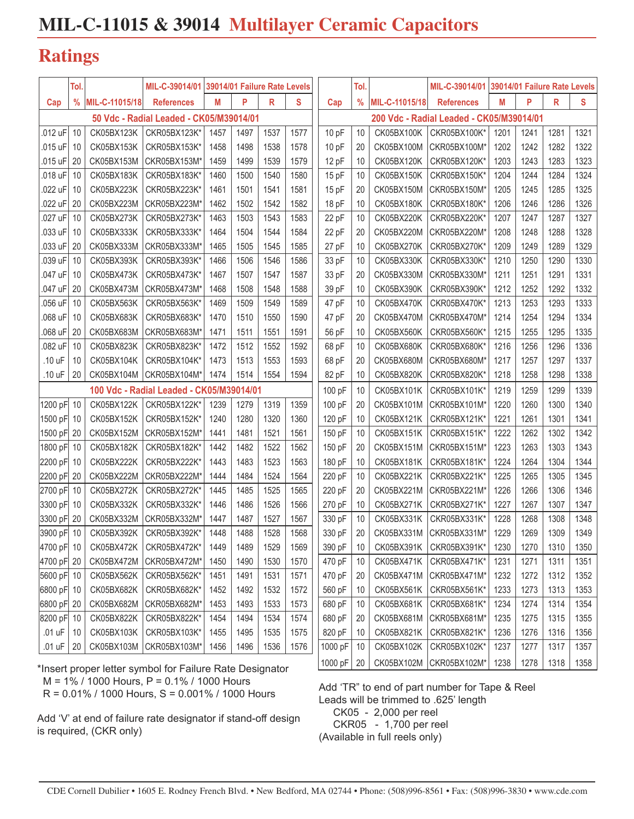#### **Ratings**

| $\frac{9}{6}$<br>MIL-C-11015/18<br>Μ<br>P<br>R<br>S<br>$\frac{9}{6}$<br>P<br>R<br>Cap<br>MIL-C-11015/18<br>Μ<br><b>References</b><br><b>References</b><br>Cap<br>50 Vdc - Radial Leaded - CK05/M39014/01<br>200 Vdc - Radial Leaded - CK05/M39014/01<br>1457<br>CKR05BX100K*<br>.012 uF<br>10<br>CK05BX123K<br>CKR05BX123K*<br>1497<br>1537<br>1577<br>10pF<br>CK05BX100K<br>1201<br>1241<br>1281<br>10<br>.015 uF<br>1498<br>1538<br>1242<br>1282<br>10<br>CK05BX153K<br>CKR05BX153K*<br>1458<br>1578<br>10pF<br>20<br>CK05BX100M<br>CKR05BX100M*<br>1202<br>12 pF<br>1243<br>1283<br>.015 uF<br>20<br>CK05BX153M<br>CKR05BX153M<br>1459<br>1499<br>1539<br>1579<br>CK05BX120K<br>CKR05BX120K*<br>1203<br>10<br>.018 uF<br>10<br>CK05BX183K<br>1500<br>1540<br>15 pF<br>CK05BX150K<br>1244<br>1284<br>CKR05BX183K*<br>1460<br>1580<br>10<br>CKR05BX150K*<br>1204<br>.022 uF<br>CK05BX223K<br>1461<br>1541<br>1581<br>15pF<br>1205<br>1245<br>1285<br>10<br>CKR05BX223K*<br>1501<br>20<br>CK05BX150M<br>CKR05BX150M* | S    |
|----------------------------------------------------------------------------------------------------------------------------------------------------------------------------------------------------------------------------------------------------------------------------------------------------------------------------------------------------------------------------------------------------------------------------------------------------------------------------------------------------------------------------------------------------------------------------------------------------------------------------------------------------------------------------------------------------------------------------------------------------------------------------------------------------------------------------------------------------------------------------------------------------------------------------------------------------------------------------------------------------------------------|------|
|                                                                                                                                                                                                                                                                                                                                                                                                                                                                                                                                                                                                                                                                                                                                                                                                                                                                                                                                                                                                                      |      |
|                                                                                                                                                                                                                                                                                                                                                                                                                                                                                                                                                                                                                                                                                                                                                                                                                                                                                                                                                                                                                      |      |
|                                                                                                                                                                                                                                                                                                                                                                                                                                                                                                                                                                                                                                                                                                                                                                                                                                                                                                                                                                                                                      | 1321 |
|                                                                                                                                                                                                                                                                                                                                                                                                                                                                                                                                                                                                                                                                                                                                                                                                                                                                                                                                                                                                                      | 1322 |
|                                                                                                                                                                                                                                                                                                                                                                                                                                                                                                                                                                                                                                                                                                                                                                                                                                                                                                                                                                                                                      | 1323 |
|                                                                                                                                                                                                                                                                                                                                                                                                                                                                                                                                                                                                                                                                                                                                                                                                                                                                                                                                                                                                                      | 1324 |
|                                                                                                                                                                                                                                                                                                                                                                                                                                                                                                                                                                                                                                                                                                                                                                                                                                                                                                                                                                                                                      | 1325 |
| .022 uF<br>20<br>1462<br>1502<br>1542<br>1246<br>1286<br>CK05BX223M<br>CKR05BX223M*<br>1582<br>18 pF<br><b>CK05BX180K</b><br>CKR05BX180K*<br>1206<br>10                                                                                                                                                                                                                                                                                                                                                                                                                                                                                                                                                                                                                                                                                                                                                                                                                                                              | 1326 |
| .027 uF<br>1463<br>1503<br>1543<br>1583<br>22 pF<br>1207<br>1247<br>1287<br>10<br>CK05BX273K<br>CKR05BX273K*<br>CK05BX220K<br>CKR05BX220K*<br>10                                                                                                                                                                                                                                                                                                                                                                                                                                                                                                                                                                                                                                                                                                                                                                                                                                                                     | 1327 |
| .033 uF<br>1544<br>22 pF<br>1248<br>10<br>CK05BX333K<br>CKR05BX333K*<br>1464<br>1504<br>1584<br>CK05BX220M<br>CKR05BX220M*<br>1208<br>1288<br>20                                                                                                                                                                                                                                                                                                                                                                                                                                                                                                                                                                                                                                                                                                                                                                                                                                                                     | 1328 |
| .033 uF<br>20<br>1465<br>1505<br>1545<br>1585<br>27 pF<br>1209<br>1249<br>1289<br>CK05BX333M<br>CKR05BX333M*<br>10<br>CK05BX270K<br>CKR05BX270K*                                                                                                                                                                                                                                                                                                                                                                                                                                                                                                                                                                                                                                                                                                                                                                                                                                                                     | 1329 |
| .039 uF<br>10<br>1506<br>1546<br>1586<br>33 pF<br>1250<br>1290<br>CK05BX393K<br>CKR05BX393K*<br>1466<br>10<br>CK05BX330K<br>CKR05BX330K*<br>1210                                                                                                                                                                                                                                                                                                                                                                                                                                                                                                                                                                                                                                                                                                                                                                                                                                                                     | 1330 |
| .047 uF<br>1547<br>33 pF<br>1251<br>1291<br>10<br>CK05BX473K<br>CKR05BX473K*<br>1467<br>1507<br>1587<br>CK05BX330M<br>CKR05BX330M<br>1211<br>20                                                                                                                                                                                                                                                                                                                                                                                                                                                                                                                                                                                                                                                                                                                                                                                                                                                                      | 1331 |
| 1252<br>.047 uF<br>CK05BX473M<br>1468<br>1508<br>1548<br>1588<br>39 pF<br>CK05BX390K<br>1212<br>1292<br>20<br>CKR05BX473M*<br>10<br>CKR05BX390K*                                                                                                                                                                                                                                                                                                                                                                                                                                                                                                                                                                                                                                                                                                                                                                                                                                                                     | 1332 |
| .056 uF<br>1253<br>1509<br>1549<br>47 pF<br>1213<br>1293<br>10<br>CK05BX563K<br>CKR05BX563K*<br>1469<br>1589<br>CK05BX470K<br>CKR05BX470K*<br>10                                                                                                                                                                                                                                                                                                                                                                                                                                                                                                                                                                                                                                                                                                                                                                                                                                                                     | 1333 |
| .068 uF<br>1550<br>47 pF<br>1254<br>1294<br>10<br>CK05BX683K<br>CKR05BX683K*<br>1470<br>1510<br>1590<br>20<br>CK05BX470M<br>CKR05BX470M*<br>1214                                                                                                                                                                                                                                                                                                                                                                                                                                                                                                                                                                                                                                                                                                                                                                                                                                                                     | 1334 |
| .068 uF<br>1471<br>1511<br>1551<br>1215<br>1255<br>1295<br>20<br>CK05BX683M<br>CKR05BX683M*<br>1591<br>56 pF<br>CK05BX560K<br>CKR05BX560K*<br>10                                                                                                                                                                                                                                                                                                                                                                                                                                                                                                                                                                                                                                                                                                                                                                                                                                                                     | 1335 |
| .082 uF<br>10<br>CK05BX823K<br>1512<br>1552<br>1592<br>68 pF<br>1256<br>1296<br>CKR05BX823K*<br>1472<br>10<br>CK05BX680K<br>CKR05BX680K*<br>1216                                                                                                                                                                                                                                                                                                                                                                                                                                                                                                                                                                                                                                                                                                                                                                                                                                                                     | 1336 |
| 1473<br>1513<br>1553<br>1593<br>68 pF<br>1217<br>1257<br>1297<br>.10 uF<br>10<br>CK05BX104K<br>CKR05BX104K*<br>20<br>CK05BX680M<br>CKR05BX680M*                                                                                                                                                                                                                                                                                                                                                                                                                                                                                                                                                                                                                                                                                                                                                                                                                                                                      | 1337 |
| 20<br>CK05BX104M<br>CKR05BX104M<br>1514<br>1554<br>1594<br>82 pF<br>CK05BX820K<br>CKR05BX820K*<br>1218<br>1258<br>1298<br>.10 uF<br>1474<br>10                                                                                                                                                                                                                                                                                                                                                                                                                                                                                                                                                                                                                                                                                                                                                                                                                                                                       | 1338 |
| 100 Vdc - Radial Leaded - CK05/M39014/01<br>100 pF<br>1259<br>1299<br>10<br>CK05BX101K<br>CKR05BX101K*<br>1219                                                                                                                                                                                                                                                                                                                                                                                                                                                                                                                                                                                                                                                                                                                                                                                                                                                                                                       | 1339 |
| 1200 pF<br>10<br>CK05BX122K<br>1239<br>1319<br>100 pF<br>1220<br>1260<br>1300<br>CKR05BX122K*<br>1279<br>1359<br>20<br>CK05BX101M<br>CKR05BX101M*                                                                                                                                                                                                                                                                                                                                                                                                                                                                                                                                                                                                                                                                                                                                                                                                                                                                    | 1340 |
| 1500 pF 10<br>CK05BX152K<br>1280<br>1320<br>1360<br>120 pF<br>CK05BX121K<br>1221<br>1261<br>1301<br>CKR05BX152K*<br>1240<br>10<br>CKR05BX121K*                                                                                                                                                                                                                                                                                                                                                                                                                                                                                                                                                                                                                                                                                                                                                                                                                                                                       | 1341 |
| 1500 pF<br>1441<br>1481<br>1521<br>150 pF<br>1262<br>1302<br>20<br>CK05BX152M<br>CKR05BX152M*<br>1561<br>10<br>CK05BX151K<br>CKR05BX151K*<br>1222                                                                                                                                                                                                                                                                                                                                                                                                                                                                                                                                                                                                                                                                                                                                                                                                                                                                    | 1342 |
| 1800 pF 10<br>1482<br>1522<br>150 pF<br>1223<br>1263<br>1303<br>CK05BX182K<br>CKR05BX182K*<br>1442<br>1562<br>20<br>CK05BX151M<br>CKR05BX151M*                                                                                                                                                                                                                                                                                                                                                                                                                                                                                                                                                                                                                                                                                                                                                                                                                                                                       | 1343 |
| 2200 pF<br>1523<br>180 pF<br>CK05BX181K<br>1264<br>1304<br>10<br>CK05BX222K<br>CKR05BX222K*<br>1443<br>1483<br>1563<br>CKR05BX181K*<br>1224<br>10                                                                                                                                                                                                                                                                                                                                                                                                                                                                                                                                                                                                                                                                                                                                                                                                                                                                    | 1344 |
| 2200 pF 20<br>1444<br>1484<br>1524<br>1265<br>CK05BX222M<br>CKR05BX222M<br>1564<br>220 pF<br>10<br>CK05BX221K<br>CKR05BX221K*<br>1225<br>1305                                                                                                                                                                                                                                                                                                                                                                                                                                                                                                                                                                                                                                                                                                                                                                                                                                                                        | 1345 |
| 2700 pF<br>1485<br>1525<br>220 pF<br>1266<br>10<br>CK05BX272K<br>CKR05BX272K*<br>1445<br>1565<br>20<br>CK05BX221M<br>CKR05BX221M*<br>1226<br>1306                                                                                                                                                                                                                                                                                                                                                                                                                                                                                                                                                                                                                                                                                                                                                                                                                                                                    | 1346 |
| 3300 pF<br>1486<br>1526<br>1227<br>1267<br>1307<br>CK05BX332K<br>CKR05BX332K*<br>1446<br>1566<br>270 pF<br>CK05BX271K<br>CKR05BX271K*<br>10<br>10                                                                                                                                                                                                                                                                                                                                                                                                                                                                                                                                                                                                                                                                                                                                                                                                                                                                    | 1347 |
| 1527<br>1268<br>3300 pF<br>1447<br>1487<br>1567<br>330 pF<br>10<br>CK05BX331K<br>CKR05BX331K*<br>1228<br>1308<br>20<br>CK05BX332M<br>CKR05BX332M                                                                                                                                                                                                                                                                                                                                                                                                                                                                                                                                                                                                                                                                                                                                                                                                                                                                     | 1348 |
| 1528<br>3900 pF 10<br>CKR05BX392K*<br>1488<br>1568<br>330 pF<br>1269<br>1309<br>CK05BX392K<br>1448<br>20<br>CK05BX331M<br>CKR05BX331M*<br>1229                                                                                                                                                                                                                                                                                                                                                                                                                                                                                                                                                                                                                                                                                                                                                                                                                                                                       | 1349 |
| 4700 pF 10<br>390 pF<br>CK05BX472K<br>CKR05BX472K*<br>1449<br>1489<br>1529<br>1569<br>CK05BX391K   CKR05BX391K*<br>1230<br>1270<br>1310<br>10                                                                                                                                                                                                                                                                                                                                                                                                                                                                                                                                                                                                                                                                                                                                                                                                                                                                        | 1350 |
| 4700 pF 20<br>470 pF<br>CK05BX472M<br>1530<br>CK05BX471K<br>CKR05BX471K*<br>1271<br>CKR05BX472M*<br>1450<br>1490<br>1570<br>10<br>1231<br>1311                                                                                                                                                                                                                                                                                                                                                                                                                                                                                                                                                                                                                                                                                                                                                                                                                                                                       | 1351 |
| 5600 pF 10<br>470 pF<br>CK05BX562K<br>CKR05BX562K*<br>1531<br>CK05BX471M CKR05BX471M*<br>1272<br>1451<br>1491<br>1571<br>20<br>1232<br>1312                                                                                                                                                                                                                                                                                                                                                                                                                                                                                                                                                                                                                                                                                                                                                                                                                                                                          | 1352 |
| 6800 pF 10<br>560 pF<br>CK05BX682K<br>CKR05BX682K*<br>1452<br>1532<br>1572<br>CK05BX561K<br>CKR05BX561K*<br>1233<br>1273<br>1313<br>1492<br>10                                                                                                                                                                                                                                                                                                                                                                                                                                                                                                                                                                                                                                                                                                                                                                                                                                                                       | 1353 |
| 6800 pF 20<br>680 pF<br>CK05BX682M<br>CKR05BX682M*<br>1533<br>CK05BX681K<br>CKR05BX681K*<br>1274<br>1453<br>1493<br>1573<br>10<br>1234<br>1314                                                                                                                                                                                                                                                                                                                                                                                                                                                                                                                                                                                                                                                                                                                                                                                                                                                                       | 1354 |
| 8200 pF 10<br>680 pF<br>CK05BX822K<br>CKR05BX822K*<br>1534<br>CK05BX681M CKR05BX681M*<br>1275<br>1454<br>1494<br>1574<br>20<br>1235<br>1315                                                                                                                                                                                                                                                                                                                                                                                                                                                                                                                                                                                                                                                                                                                                                                                                                                                                          | 1355 |
| $.01$ uF<br>820 pF<br>CK05BX103K<br>CKR05BX103K*<br>1535<br>1575<br>CK05BX821K   CKR05BX821K*<br>1316<br>10<br>1455<br>1495<br>10<br>1236<br>1276                                                                                                                                                                                                                                                                                                                                                                                                                                                                                                                                                                                                                                                                                                                                                                                                                                                                    | 1356 |
| $.01$ uF<br>20<br>CK05BX103M CKR05BX103M*<br>1536<br>1000 pF<br>CK05BX102K<br>CKR05BX102K*<br>1456<br>1496<br>1576<br>10<br>1237<br>1277<br>1317                                                                                                                                                                                                                                                                                                                                                                                                                                                                                                                                                                                                                                                                                                                                                                                                                                                                     | 1357 |

Add 'TR" to end of part number for Tape & Reel Leads will be trimmed to .625' length CK05 - 2,000 per reel CKR05 - 1,700 per reel (Available in full reels only)

\*Insert proper letter symbol for Failure Rate Designator | 1000 pF | 20 | CK05BX102M | CKR05BX102M\* | 1238 | 1278 | 1318 | 1358 | M = 1% / 1000 Hours, P = 0.1% / 1000 Hours R = 0.01% / 1000 Hours, S = 0.001% / 1000 Hours

Add 'V' at end of failure rate designator if stand-off design is required, (CKR only)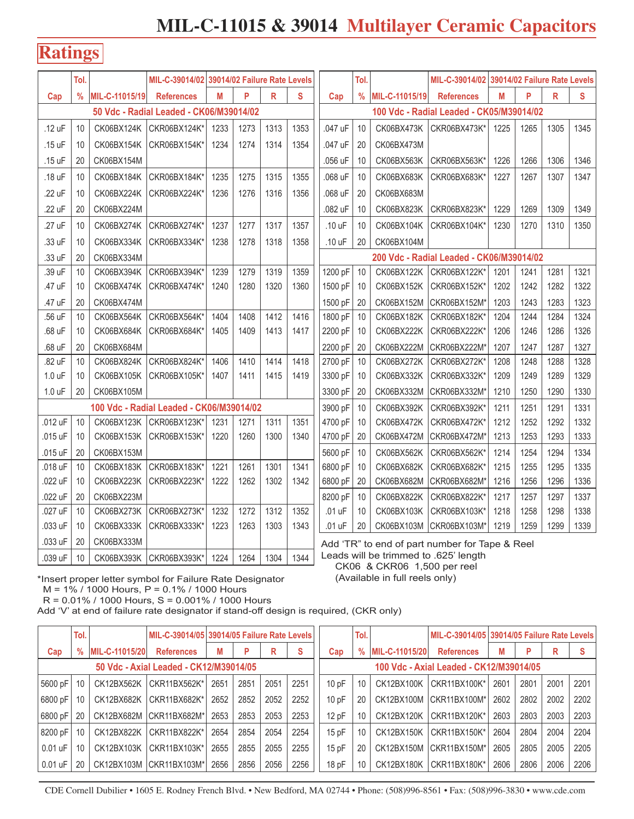#### **Ratings**

|         | Tol.          |                |                                          | MIL-C-39014/02 39014/02 Failure Rate Levels |      |      | Tol. |                                                                                         | MIL-C-39014/02 39014/02 Failure Rate Levels |                |                                          |      |      |      |      |
|---------|---------------|----------------|------------------------------------------|---------------------------------------------|------|------|------|-----------------------------------------------------------------------------------------|---------------------------------------------|----------------|------------------------------------------|------|------|------|------|
| Cap     | $\frac{0}{0}$ | MIL-C-11015/19 | <b>References</b>                        | M                                           | P    | R    | S    | Cap                                                                                     | $\frac{9}{6}$                               | MIL-C-11015/19 | <b>References</b>                        | M    | P    | R    | S    |
|         |               |                | 50 Vdc - Radial Leaded - CK06/M39014/02  |                                             |      |      |      |                                                                                         |                                             |                | 100 Vdc - Radial Leaded - CK05/M39014/02 |      |      |      |      |
| .12 uF  | 10            | CK06BX124K     | CKR06BX124K*                             | 1233                                        | 1273 | 1313 | 1353 | .047 uF                                                                                 | 10                                          | CK06BX473K     | CKR06BX473K*                             | 1225 | 1265 | 1305 | 1345 |
| .15 uF  | 10            | CK06BX154K     | CKR06BX154K*                             | 1234                                        | 1274 | 1314 | 1354 | .047 uF                                                                                 | 20                                          | CK06BX473M     |                                          |      |      |      |      |
| .15 uF  | 20            | CK06BX154M     |                                          |                                             |      |      |      | .056 uF                                                                                 | 10                                          | CK06BX563K     | CKR06BX563K*                             | 1226 | 1266 | 1306 | 1346 |
| .18 uF  | 10            | CK06BX184K     | CKR06BX184K*                             | 1235                                        | 1275 | 1315 | 1355 | .068 uF                                                                                 | 10                                          | CK06BX683K     | CKR06BX683K*                             | 1227 | 1267 | 1307 | 1347 |
| .22 uF  | 10            | CK06BX224K     | CKR06BX224K*                             | 1236                                        | 1276 | 1316 | 1356 | .068 uF                                                                                 | 20                                          | CK06BX683M     |                                          |      |      |      |      |
| .22 uF  | 20            | CK06BX224M     |                                          |                                             |      |      |      | .082 uF                                                                                 | 10                                          | CK06BX823K     | CKR06BX823K*                             | 1229 | 1269 | 1309 | 1349 |
| .27 uF  | 10            | CK06BX274K     | CKR06BX274K*                             | 1237                                        | 1277 | 1317 | 1357 | .10 uF                                                                                  | 10                                          | CK06BX104K     | CKR06BX104K*                             | 1230 | 1270 | 1310 | 1350 |
| .33 uF  | 10            | CK06BX334K     | CKR06BX334K*                             | 1238                                        | 1278 | 1318 | 1358 | .10 uF                                                                                  | 20                                          | CK06BX104M     |                                          |      |      |      |      |
| .33 uF  | 20            | CK06BX334M     |                                          |                                             |      |      |      | 200 Vdc - Radial Leaded - CK06/M39014/02                                                |                                             |                |                                          |      |      |      |      |
| .39 uF  | 10            | CK06BX394K     | CKR06BX394K*                             | 1239                                        | 1279 | 1319 | 1359 | 1200 pF                                                                                 | 10                                          | CK06BX122K     | CKR06BX122K*                             | 1201 | 1241 | 1281 | 1321 |
| .47 uF  | 10            | CK06BX474K     | CKR06BX474K*                             | 1240                                        | 1280 | 1320 | 1360 | 1500 pF                                                                                 | 10                                          | CK06BX152K     | CKR06BX152K*                             | 1202 | 1242 | 1282 | 1322 |
| .47 uF  | 20            | CK06BX474M     |                                          |                                             |      |      |      | 1500 pF                                                                                 | 20                                          | CK06BX152M     | CKR06BX152M*                             | 1203 | 1243 | 1283 | 1323 |
| .56 uF  | 10            | CK06BX564K     | CKR06BX564K*                             | 1404                                        | 1408 | 1412 | 1416 | 1800 pF                                                                                 | 10                                          | CK06BX182K     | CKR06BX182K*                             | 1204 | 1244 | 1284 | 1324 |
| .68 uF  | 10            | CK06BX684K     | CKR06BX684K*                             | 1405                                        | 1409 | 1413 | 1417 | 2200 pF                                                                                 | 10                                          | CK06BX222K     | CKR06BX222K*                             | 1206 | 1246 | 1286 | 1326 |
| .68 uF  | 20            | CK06BX684M     |                                          |                                             |      |      |      | 2200 pF                                                                                 | 20                                          | CK06BX222M     | CKR06BX222M*                             | 1207 | 1247 | 1287 | 1327 |
| .82 uF  | 10            | CK06BX824K     | CKR06BX824K*                             | 1406                                        | 1410 | 1414 | 1418 | 2700 pF                                                                                 | 10                                          | CK06BX272K     | CKR06BX272K*                             | 1208 | 1248 | 1288 | 1328 |
| 1.0 uF  | 10            | CK06BX105K     | CKR06BX105K*                             | 1407                                        | 1411 | 1415 | 1419 | 3300 pF                                                                                 | 10                                          | CK06BX332K     | CKR06BX332K*                             | 1209 | 1249 | 1289 | 1329 |
| 1.0 uF  | 20            | CK06BX105M     |                                          |                                             |      |      |      | 3300 pF                                                                                 | 20                                          | CK06BX332M     | CKR06BX332M*                             | 1210 | 1250 | 1290 | 1330 |
|         |               |                | 100 Vdc - Radial Leaded - CK06/M39014/02 |                                             |      |      |      | 3900 pF                                                                                 | 10                                          | CK06BX392K     | CKR06BX392K*                             | 1211 | 1251 | 1291 | 1331 |
| .012 uF | 10            | CK06BX123K     | CKR06BX123K*                             | 1231                                        | 1271 | 1311 | 1351 | 4700 pF                                                                                 | 10                                          | CK06BX472K     | CKR06BX472K*                             | 1212 | 1252 | 1292 | 1332 |
| .015 uF | 10            | CK06BX153K     | CKR06BX153K*                             | 1220                                        | 1260 | 1300 | 1340 | 4700 pF                                                                                 | 20                                          | CK06BX472M     | CKR06BX472M*                             | 1213 | 1253 | 1293 | 1333 |
| .015 uF | 20            | CK06BX153M     |                                          |                                             |      |      |      | 5600 pF                                                                                 | 10                                          | CK06BX562K     | CKR06BX562K*                             | 1214 | 1254 | 1294 | 1334 |
| .018 uF | 10            | CK06BX183K     | CKR06BX183K*                             | 1221                                        | 1261 | 1301 | 1341 | 6800 pF                                                                                 | 10                                          | CK06BX682K     | CKR06BX682K*                             | 1215 | 1255 | 1295 | 1335 |
| .022 uF | 10            | CK06BX223K     | CKR06BX223K*                             | 1222                                        | 1262 | 1302 | 1342 | 6800 pF                                                                                 | 20                                          | CK06BX682M     | CKR06BX682M*                             | 1216 | 1256 | 1296 | 1336 |
| .022 uF | 20            | CK06BX223M     |                                          |                                             |      |      |      | 8200 pF                                                                                 | 10                                          | CK06BX822K     | CKR06BX822K*                             | 1217 | 1257 | 1297 | 1337 |
| .027 uF | 10            | CK06BX273K     | CKR06BX273K*                             | 1232                                        | 1272 | 1312 | 1352 | .01 uF                                                                                  | 10                                          | CK06BX103K     | CKR06BX103K*                             | 1218 | 1258 | 1298 | 1338 |
| .033 uF | 10            | CK06BX333K     | CKR06BX333K*                             | 1223                                        | 1263 | 1303 | 1343 | .01 uF                                                                                  | 20                                          | CK06BX103M     | CKR06BX103M*                             | 1219 | 1259 | 1299 | 1339 |
| .033 uF | 20            | CK06BX333M     |                                          |                                             |      |      |      |                                                                                         |                                             |                |                                          |      |      |      |      |
| .039 uF | 10            | CK06BX393K     | CKR06BX393K*                             | 1224                                        | 1264 | 1304 | 1344 | Add 'TR" to end of part number for Tape & Reel<br>Leads will be trimmed to .625' length |                                             |                |                                          |      |      |      |      |

Leads will be trimmed to .625' length CK06 & CKR06 1,500 per reel

\*Insert proper letter symbol for Failure Rate Designator (Available in full reels only) M = 1% / 1000 Hours, P = 0.1% / 1000 Hours

R = 0.01% / 1000 Hours, S = 0.001% / 1000 Hours

Add 'V' at end of failure rate designator if stand-off design is required, (CKR only)

|           | Tol.                                   |                  |                         | MIL-C-39014/05 39014/05 Failure Rate Levels |      |      |      |       | Tol.                                    |                | MIL-C-39014/05 39014/05 Failure Rate Levels |      |      |      |          |  |  |
|-----------|----------------------------------------|------------------|-------------------------|---------------------------------------------|------|------|------|-------|-----------------------------------------|----------------|---------------------------------------------|------|------|------|----------|--|--|
| Cap       |                                        | % MIL-C-11015/20 | <b>References</b>       | М                                           | P    | R    | S    | Cap   | $\frac{9}{6}$                           | MIL-C-11015/20 | <b>References</b>                           | Μ    | P    | R    | <b>S</b> |  |  |
|           | 50 Vdc - Axial Leaded - CK12/M39014/05 |                  |                         |                                             |      |      |      |       | 100 Vdc - Axial Leaded - CK12/M39014/05 |                |                                             |      |      |      |          |  |  |
| 5600 pF   | 10                                     | CK12BX562K       | CKR11BX562K*            | 2651                                        | 2851 | 2051 | 2251 | 10pF  | 10                                      | CK12BX100K     | CKR11BX100K*                                | 2601 | 2801 | 2001 | 2201     |  |  |
| 6800 pF   | 10                                     | CK12BX682K       | CKR11BX682K*            | 2652                                        | 2852 | 2052 | 2252 | 10pF  | 20                                      | CK12BX100M     | CKR11BX100M*                                | 2602 | 2802 | 2002 | 2202     |  |  |
| 6800 pF   | 20                                     |                  | CK12BX682M CKR11BX682M  | 2653                                        | 2853 | 2053 | 2253 | 12pF  | 10                                      | CK12BX120K     | CKR11BX120K*                                | 2603 | 2803 | 2003 | 2203     |  |  |
| 8200 pF   | 10                                     | CK12BX822K       | CKR11BX822K*            | 2654                                        | 2854 | 2054 | 2254 | 15pF  | 10                                      | CK12BX150K     | CKR11BX150K*                                | 2604 | 2804 | 2004 | 2204     |  |  |
| $0.01$ uF | 10                                     | CK12BX103K       | <b>CKR11BX103K*</b>     | 2655                                        | 2855 | 2055 | 2255 | 15pF  | 20                                      | CK12BX150M     | CKR11BX150M*                                | 2605 | 2805 | 2005 | 2205     |  |  |
| 0.01 uF   | 20                                     |                  | CK12BX103M CKR11BX103M* | 2656                                        | 2856 | 2056 | 2256 | 18 pF | 10                                      | CK12BX180K     | CKR11BX180K*                                | 2606 | 2806 | 2006 | 2206     |  |  |

CDE Cornell Dubilier • 1605 E. Rodney French Blvd. • New Bedford, MA 02744 • Phone: (508)996-8561 • Fax: (508)996-3830 • www.cde.com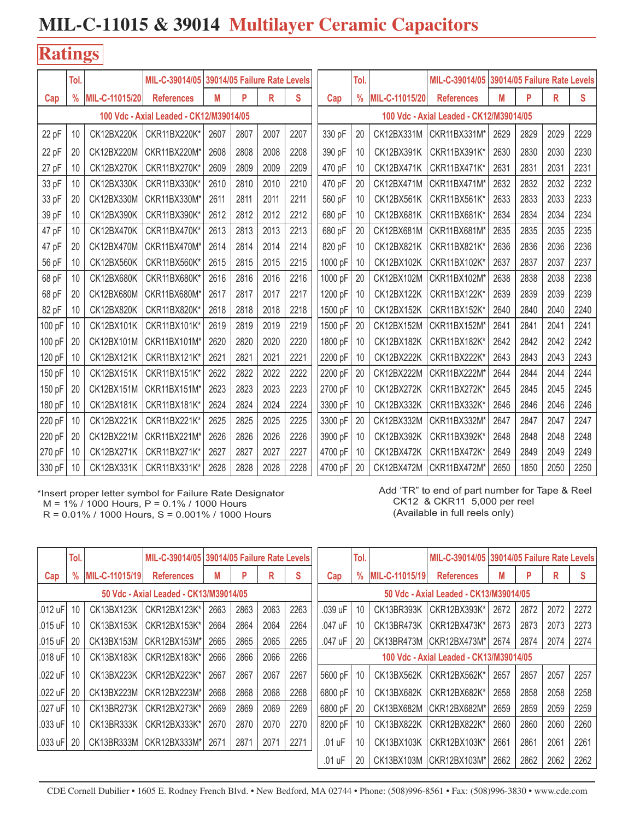#### **Ratings**

|        | Tol.          |                | MIL-C-39014/05 39014/05 Failure Rate Levels |      |                      |      |      |         | Tol.          |                |                                         |      | MIL-C-39014/05 39014/05 Failure Rate Levels |      |      |
|--------|---------------|----------------|---------------------------------------------|------|----------------------|------|------|---------|---------------|----------------|-----------------------------------------|------|---------------------------------------------|------|------|
| Cap    | $\frac{0}{0}$ | MIL-C-11015/20 | <b>References</b>                           | M    | P                    | R    | S    | Cap     | $\frac{9}{6}$ | MIL-C-11015/20 | <b>References</b>                       | M    | P                                           | R    | S.   |
|        |               |                | 100 Vdc - Axial Leaded - CK12/M39014/05     |      |                      |      |      |         |               |                | 100 Vdc - Axial Leaded - CK12/M39014/05 |      |                                             |      |      |
| 22 pF  | 10            | CK12BX220K     | CKR11BX220K*                                | 2607 | 2007<br>2807<br>2207 |      |      |         | 20            | CK12BX331M     | CKR11BX331M*                            | 2629 | 2829                                        | 2029 | 2229 |
| 22 pF  | 20            | CK12BX220M     | CKR11BX220M*                                | 2608 | 2808                 | 2008 | 2208 | 390 pF  | 10            | CK12BX391K     | CKR11BX391K*                            | 2630 | 2830                                        | 2030 | 2230 |
| 27 pF  | 10            | CK12BX270K     | CKR11BX270K*                                | 2609 | 2809                 | 2009 | 2209 | 470 pF  | 10            | CK12BX471K     | CKR11BX471K*                            | 2631 | 2831                                        | 2031 | 2231 |
| 33 pF  | 10            | CK12BX330K     | CKR11BX330K*                                | 2610 | 2810                 | 2010 | 2210 | 470 pF  | 20            | CK12BX471M     | CKR11BX471M*                            | 2632 | 2832                                        | 2032 | 2232 |
| 33 pF  | 20            | CK12BX330M     | CKR11BX330M'                                | 2611 | 2811                 | 2011 | 2211 | 560 pF  | 10            | CK12BX561K     | CKR11BX561K*                            | 2633 | 2833                                        | 2033 | 2233 |
| 39 pF  | 10            | CK12BX390K     | CKR11BX390K*                                | 2612 | 2812                 | 2012 | 2212 | 680 pF  | 10            | CK12BX681K     | CKR11BX681K*                            | 2634 | 2834                                        | 2034 | 2234 |
| 47 pF  | 10            | CK12BX470K     | CKR11BX470K*                                | 2613 | 2813                 | 2013 | 2213 | 680 pF  | 20            | CK12BX681M     | CKR11BX681M*                            | 2635 | 2835                                        | 2035 | 2235 |
| 47 pF  | 20            | CK12BX470M     | CKR11BX470M'                                | 2614 | 2814                 | 2014 | 2214 | 820 pF  | 10            | CK12BX821K     | CKR11BX821K*                            | 2636 | 2836                                        | 2036 | 2236 |
| 56 pF  | 10            | CK12BX560K     | CKR11BX560K*                                | 2615 | 2815                 | 2015 | 2215 | 1000 pF | 10            | CK12BX102K     | CKR11BX102K*                            | 2637 | 2837                                        | 2037 | 2237 |
| 68 pF  | 10            | CK12BX680K     | CKR11BX680K*                                | 2616 | 2816                 | 2016 | 2216 | 1000 pF | 20            | CK12BX102M     | CKR11BX102M*                            | 2638 | 2838                                        | 2038 | 2238 |
| 68 pF  | 20            | CK12BX680M     | CKR11BX680M*                                | 2617 | 2817                 | 2017 | 2217 | 1200 pF | 10            | CK12BX122K     | CKR11BX122K*                            | 2639 | 2839                                        | 2039 | 2239 |
| 82 pF  | 10            | CK12BX820K     | CKR11BX820K*                                | 2618 | 2818                 | 2018 | 2218 | 1500 pF | 10            | CK12BX152K     | CKR11BX152K*                            | 2640 | 2840                                        | 2040 | 2240 |
| 100 pF | 10            | CK12BX101K     | CKR11BX101K*                                | 2619 | 2819                 | 2019 | 2219 | 1500 pF | 20            | CK12BX152M     | CKR11BX152M*                            | 2641 | 2841                                        | 2041 | 2241 |
| 100 pF | 20            | CK12BX101M     | CKR11BX101M*                                | 2620 | 2820                 | 2020 | 2220 | 1800 pF | 10            | CK12BX182K     | CKR11BX182K*                            | 2642 | 2842                                        | 2042 | 2242 |
| 120 pF | 10            | CK12BX121K     | CKR11BX121K*                                | 2621 | 2821                 | 2021 | 2221 | 2200 pF | 10            | CK12BX222K     | CKR11BX222K*                            | 2643 | 2843                                        | 2043 | 2243 |
| 150 pF | 10            | CK12BX151K     | CKR11BX151K*                                | 2622 | 2822                 | 2022 | 2222 | 2200 pF | 20            | CK12BX222M     | CKR11BX222M*                            | 2644 | 2844                                        | 2044 | 2244 |
| 150 pF | 20            | CK12BX151M     | CKR11BX151M*                                | 2623 | 2823                 | 2023 | 2223 | 2700 pF | 10            | CK12BX272K     | CKR11BX272K*                            | 2645 | 2845                                        | 2045 | 2245 |
| 180 pF | 10            | CK12BX181K     | CKR11BX181K*                                | 2624 | 2824                 | 2024 | 2224 | 3300 pF | 10            | CK12BX332K     | CKR11BX332K*                            | 2646 | 2846                                        | 2046 | 2246 |
| 220 pF | 10            | CK12BX221K     | CKR11BX221K*                                | 2625 | 2825                 | 2025 | 2225 | 3300 pF | 20            | CK12BX332M     | CKR11BX332M*                            | 2647 | 2847                                        | 2047 | 2247 |
| 220 pF | 20            | CK12BX221M     | CKR11BX221M*                                | 2626 | 2826                 | 2026 | 2226 | 3900 pF | 10            | CK12BX392K     | CKR11BX392K*                            | 2648 | 2848                                        | 2048 | 2248 |
| 270 pF | 10            | CK12BX271K     | CKR11BX271K*                                | 2627 | 2827                 | 2027 | 2227 | 4700 pF | 10            | CK12BX472K     | CKR11BX472K*                            | 2649 | 2849                                        | 2049 | 2249 |
| 330 pF | 10            | CK12BX331K     | CKR11BX331K*                                | 2628 | 2828                 | 2028 | 2228 | 4700 pF | 20            | CK12BX472M     | CKR11BX472M*                            | 2650 | 1850                                        | 2050 | 2250 |

\*Insert proper letter symbol for Failure Rate Designator M = 1% / 1000 Hours, P = 0.1% / 1000 Hours R = 0.01% / 1000 Hours, S = 0.001% / 1000 Hours

Add 'TR" to end of part number for Tape & Reel CK12 & CKR11 5,000 per reel (Available in full reels only)

|              | Tol.                                   |                | MIL-C-39014/05 39014/05 Failure Rate Levels |      |      |      |      |                                         | Tol.                                   |                | MIL-C-39014/05          | 39014/05 Failure Rate Levels |      |      |      |  |
|--------------|----------------------------------------|----------------|---------------------------------------------|------|------|------|------|-----------------------------------------|----------------------------------------|----------------|-------------------------|------------------------------|------|------|------|--|
| Cap          | $\frac{0}{0}$                          | MIL-C-11015/19 | <b>References</b>                           | M    | P    | R    | S    | Cap                                     | %                                      | MIL-C-11015/19 | <b>References</b>       | М                            | P    | R    | S    |  |
|              | 50 Vdc - Axial Leaded - CK13/M39014/05 |                |                                             |      |      |      |      |                                         | 50 Vdc - Axial Leaded - CK13/M39014/05 |                |                         |                              |      |      |      |  |
| .012 uF      | 10                                     | CK13BX123K     | CKR12BX123K*                                | 2663 | 2863 | 2063 | 2263 | .039 uF                                 | 10                                     | CK13BR393K     | CKR12BX393K*            | 2672                         | 2872 | 2072 | 2272 |  |
| .015 uF      | 10                                     | CK13BX153K     | CKR12BX153K*                                | 2664 | 2864 | 2064 | 2264 | .047 uF                                 | 10                                     | CK13BR473K     | CKR12BX473K*            | 2673                         | 2873 | 2073 | 2273 |  |
| .015 uF      | 20                                     | CK13BX153M     | CKR12BX153M*                                | 2665 | 2865 | 2065 | 2265 | .047 uF                                 | 20                                     |                | CK13BR473M CKR12BX473M* | 2674                         | 2874 | 2074 | 2274 |  |
| .018 $\mu$ F | 10                                     | CK13BX183K     | CKR12BX183K*                                | 2666 | 2866 | 2066 | 2266 | 100 Vdc - Axial Leaded - CK13/M39014/05 |                                        |                |                         |                              |      |      |      |  |
| .022 uF      | 10                                     | CK13BX223K     | CKR12BX223K*                                | 2667 | 2867 | 2067 | 2267 | 5600 pF                                 | 10                                     | CK13BX562K     | CKR12BX562K*            | 2657                         | 2857 | 2057 | 2257 |  |
| .022 uF      | 20                                     | CK13BX223M     | CKR12BX223M*                                | 2668 | 2868 | 2068 | 2268 | 6800 pF                                 | 10                                     | CK13BX682K     | CKR12BX682K*            | 2658                         | 2858 | 2058 | 2258 |  |
| .027 uF      | 10                                     | CK13BR273K     | CKR12BX273K*                                | 2669 | 2869 | 2069 | 2269 | 6800 pF                                 | 20                                     | CK13BX682M     | CKR12BX682M*            | 2659                         | 2859 | 2059 | 2259 |  |
| .033 uF      | 10                                     | CK13BR333K     | CKR12BX333K*                                | 2670 | 2870 | 2070 | 2270 | 8200 pF                                 | 10                                     | CK13BX822K     | CKR12BX822K*            | 2660                         | 2860 | 2060 | 2260 |  |
| .033 uF      | 20                                     | CK13BR333M     | CKR12BX333M*                                | 2671 | 2871 | 2071 | 2271 | .01 uF                                  | 10                                     | CK13BX103K     | CKR12BX103K*            | 2661                         | 2861 | 2061 | 2261 |  |
|              |                                        |                |                                             |      |      |      |      | .01 uF                                  | 20                                     | CK13BX103M     | CKR12BX103M*            | 2662                         | 2862 | 2062 | 2262 |  |